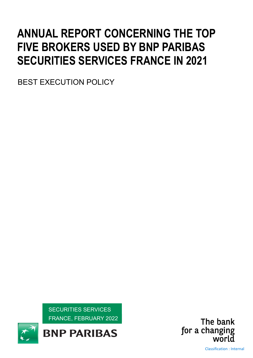# ANNUAL REPORT CONCERNING THE TOP FIVE BROKERS USED BY BNP PARIBAS SECURITIES SERVICES FRANCE IN 2021

BEST EXECUTION POLICY

SECURITIES SERVICES FRANCE, FEBRUARY 2022

**BNP PARIBAS** 



Classification : Internal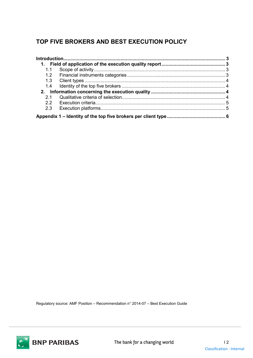## TOP FIVE BROKERS AND BEST EXECUTION POLICY

| 1.  |  |
|-----|--|
| 1.1 |  |
| 1.2 |  |
|     |  |
| 1.4 |  |
|     |  |
| 21  |  |
| 22  |  |
| 2.3 |  |
|     |  |

Regulatory source: AMF Position – Recommendation n° 2014-07 – Best Execution Guide

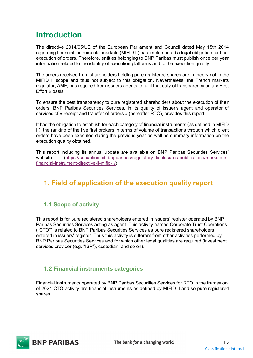## Introduction

The directive 2014/65/UE of the European Parliament and Council dated May 15th 2014 regarding financial instruments' markets (MIFID II) has implemented a legal obligation for best execution of orders. Therefore, entities belonging to BNP Paribas must publish once per year information related to the identity of execution platforms and to the execution quality.

The orders received from shareholders holding pure registered shares are in theory not in the MIFID II scope and thus not subject to this obligation. Nevertheless, the French markets regulator, AMF, has required from issuers agents to fulfil that duty of transparency on a « Best Effort » basis.

To ensure the best transparency to pure registered shareholders about the execution of their orders, BNP Paribas Securities Services, in its quality of issuer's agent and operator of services of « receipt and transfer of orders » (hereafter RTO), provides this report,

It has the obligation to establish for each category of financial instruments (as defined in MIFID II), the ranking of the five first brokers in terms of volume of transactions through which client orders have been executed during the previous year as well as summary information on the execution quality obtained.

This report including its annual update are available on BNP Paribas Securities Services' website (https://securities.cib.bnpparibas/regulatory-disclosures-publications/markets-infinancial-instrument-directive-ii-mifid-ii/).

## 1. Field of application of the execution quality report

#### 1.1 Scope of activity

This report is for pure registered shareholders entered in issuers' register operated by BNP Paribas Securities Services acting as agent. This activity named Corporate Trust Operations ("CTO") is related to BNP Paribas Securities Services as pure registered shareholders entered in issuers' register. Thus this activity is different from other activities performed by BNP Paribas Securities Services and for which other legal qualities are required (investment services provider (e.g. "ISP"), custodian, and so on).

#### 1.2 Financial instruments categories

Financial instruments operated by BNP Paribas Securities Services for RTO in the framework of 2021 CTO activity are financial instruments as defined by MIFID II and so pure registered shares.

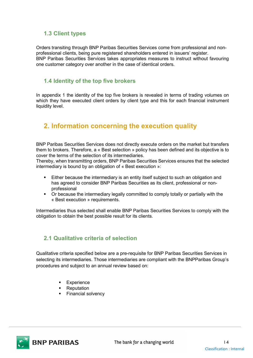#### 1.3 Client types

Orders transiting through BNP Paribas Securities Services come from professional and nonprofessional clients, being pure registered shareholders entered in issuers' register. BNP Paribas Securities Services takes appropriates measures to instruct without favouring one customer category over another in the case of identical orders.

#### 1.4 Identity of the top five brokers

In appendix 1 the identity of the top five brokers is revealed in terms of trading volumes on which they have executed client orders by client type and this for each financial instrument liquidity level.

## 2. Information concerning the execution quality

BNP Paribas Securities Services does not directly execute orders on the market but transfers them to brokers. Therefore, a « Best selection » policy has been defined and its objective is to cover the terms of the selection of its intermediaries.

Thereby, when transmitting orders, BNP Paribas Securities Services ensures that the selected intermediary is bound by an obligation of « Best execution »:

- Either because the intermediary is an entity itself subject to such an obligation and has agreed to consider BNP Paribas Securities as its client, professional or nonprofessional
- Or because the intermediary legally committed to comply totally or partially with the « Best execution » requirements.

Intermediaries thus selected shall enable BNP Paribas Securities Services to comply with the obligation to obtain the best possible result for its clients.

#### 2.1 Qualitative criteria of selection

Qualitative criteria specified below are a pre-requisite for BNP Paribas Securities Services in selecting its intermediaries. Those intermediaries are compliant with the BNPParibas Group's procedures and subject to an annual review based on:

- **Experience**
- Reputation
- Financial solvency

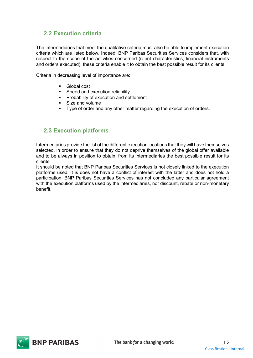#### 2.2 Execution criteria

The intermediaries that meet the qualitative criteria must also be able to implement execution criteria which are listed below. Indeed, BNP Paribas Securities Services considers that, with respect to the scope of the activities concerned (client characteristics, financial instruments and orders executed), these criteria enable it to obtain the best possible result for its clients.

Criteria in decreasing level of importance are:

- **Global cost**
- Speed and execution reliability
- **Probability of execution and settlement**
- **Size and volume**
- **Type of order and any other matter regarding the execution of orders.**

#### 2.3 Execution platforms

Intermediaries provide the list of the different execution locations that they will have themselves selected, in order to ensure that they do not deprive themselves of the global offer available and to be always in position to obtain, from its intermediaries the best possible result for its clients.

It should be noted that BNP Paribas Securities Services is not closely linked to the execution platforms used. It is does not have a conflict of interest with the latter and does not hold a participation. BNP Paribas Securities Services has not concluded any particular agreement with the execution platforms used by the intermediaries, nor discount, rebate or non-monetary benefit.

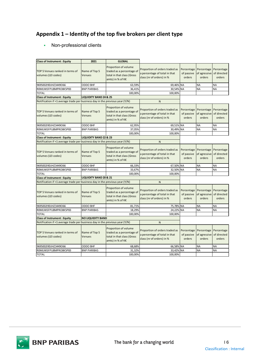### Appendix 1 – Identity of the top five brokers per client type

|                                                                                    |                                   |                                                | Appendix 1 – Identity of the top five brokers per client type   |            |                                                              |                        |
|------------------------------------------------------------------------------------|-----------------------------------|------------------------------------------------|-----------------------------------------------------------------|------------|--------------------------------------------------------------|------------------------|
|                                                                                    |                                   |                                                |                                                                 |            |                                                              |                        |
|                                                                                    |                                   |                                                |                                                                 |            |                                                              |                        |
| Non-professional clients                                                           |                                   |                                                |                                                                 |            |                                                              |                        |
|                                                                                    |                                   |                                                |                                                                 |            |                                                              |                        |
|                                                                                    |                                   |                                                |                                                                 |            |                                                              |                        |
| <b>Class of Instrument: Equity</b>                                                 | 2021                              | <b>GLOBAL</b>                                  |                                                                 |            |                                                              |                        |
|                                                                                    |                                   | Proportion of volume                           |                                                                 |            |                                                              |                        |
| TOP 5 Venues ranked in terms of                                                    | Name of Top 5                     | traded as a percentage of                      | Proportion of orders traded as                                  | Percentage |                                                              | Percentage Percentage  |
| volumes (LEI codes)                                                                | <b>Venues</b>                     | total in that class (Gross                     | a percentage of total in that                                   | of passive | of agressive of directed                                     |                        |
|                                                                                    |                                   | amts) in % of K€                               | class (nr of orders) in %                                       | orders     | orders                                                       | orders                 |
| 9695002I9DJHZ3449O66                                                               | ODDO BHF                          | 63,59%                                         | 69,46% NA                                                       |            | <b>NA</b>                                                    | NA                     |
| ROMUWSFPU8MPRO8K5P83                                                               | <b>BNP PARIBAS</b>                | 36,41%                                         | 30,54% NA                                                       |            | <b>NA</b>                                                    | NA                     |
| <b>TOTAL</b>                                                                       |                                   | 100,00%                                        | 100,00%                                                         |            |                                                              |                        |
| <b>Class of Instrument: Equity</b>                                                 | <b>LIQUIDITY BAND 24 &amp; 25</b> |                                                |                                                                 |            |                                                              |                        |
| Notification if <1 average trade per business day in the previous year (Y/N)       |                                   |                                                | $\mathsf{N}$                                                    |            |                                                              |                        |
|                                                                                    |                                   |                                                |                                                                 |            |                                                              |                        |
|                                                                                    |                                   | Proportion of volume                           | Proportion of orders traded as                                  |            | Percentage Percentage Percentage                             |                        |
| TOP 5 Venues ranked in terms of                                                    | Name of Top 5<br><b>Venues</b>    | traded as a percentage of                      | a percentage of total in that                                   | of passive | of agressive of directed                                     |                        |
| volumes (LEI codes)                                                                |                                   | total in that class (Gross<br>amts) in % of K€ | class (nr of orders) in %                                       | orders     | orders                                                       | orders                 |
|                                                                                    |                                   |                                                |                                                                 |            |                                                              |                        |
| 969500219DJHZ3449O66                                                               | ODDO BHF                          | 62,95%                                         | 69,51% NA                                                       |            | <b>NA</b>                                                    | <b>NA</b>              |
| ROMUWSFPU8MPRO8K5P83                                                               | <b>BNP PARIBAS</b>                | 37,05%                                         | 30,49% NA                                                       |            | <b>NA</b>                                                    | <b>NA</b>              |
| <b>TOTAL</b>                                                                       |                                   | 100,00%                                        | 100,00%                                                         |            |                                                              |                        |
| <b>Class of Instrument: Equity</b>                                                 | <b>LIQUIDITY BAND 22 &amp; 23</b> |                                                |                                                                 |            |                                                              |                        |
| Notification if $\leq 1$ average trade per business day in the previous year (Y/N) |                                   |                                                | N                                                               |            |                                                              |                        |
|                                                                                    |                                   | Proportion of volume                           |                                                                 |            |                                                              |                        |
| TOP 5 Venues ranked in terms of                                                    | Name of Top 5                     | traded as a percentage of                      | Proportion of orders traded as<br>a percentage of total in that |            | Percentage Percentage Percentage<br>of agressive of directed |                        |
| volumes (LEI codes)                                                                | Venues                            | total in that class (Gross                     | class (nr of orders) in %                                       | of passive |                                                              |                        |
|                                                                                    |                                   | amts) in % of K€                               |                                                                 | orders     | orders                                                       | orders                 |
| 969500219DJHZ3449O66                                                               | <b>ODDO BHF</b>                   | 66,33%                                         | 67,50% NA                                                       |            | <b>NA</b>                                                    | <b>NA</b>              |
| ROMUWSFPU8MPRO8K5P83                                                               | <b>BNP PARIBAS</b>                | 33,67%                                         | 32,50% NA                                                       |            | <b>NA</b>                                                    | <b>NA</b>              |
| TOTAL                                                                              |                                   | 100,00%                                        | 100,00%                                                         |            |                                                              |                        |
| <b>Class of Instrument: Equity</b>                                                 | <b>LIQUIDITY BAND 20 &amp; 21</b> |                                                |                                                                 |            |                                                              |                        |
| Notification if <1 average trade per business day in the previous year (Y/N)       |                                   |                                                | ${\sf N}$                                                       |            |                                                              |                        |
|                                                                                    |                                   |                                                |                                                                 |            |                                                              |                        |
|                                                                                    |                                   | Proportion of volume                           | Proportion of orders traded as                                  | Percentage |                                                              | Percentage Percentage  |
| TOP 5 Venues ranked in terms of                                                    | Name of Top 5                     | traded as a percentage of                      | a percentage of total in that                                   | of passive | of agressive of directed                                     |                        |
| volumes (LEI codes)                                                                | Venues                            | total in that class (Gross                     | class (nr of orders) in %                                       | orders     | orders                                                       | orders                 |
|                                                                                    |                                   | amts) in % of K€                               |                                                                 |            |                                                              |                        |
| 969500219DJHZ3449O66                                                               | <b>ODDO BHF</b>                   | 81,71%                                         | 75,78% NA                                                       |            | <b>NA</b>                                                    | <b>NA</b>              |
| ROMUWSFPU8MPRO8K5P83                                                               | <b>BNP PARIBAS</b>                | 18,29%                                         | 24,22% NA                                                       |            | <b>NA</b>                                                    | <b>NA</b>              |
| TOTAL                                                                              |                                   | 100,00%                                        | 100,00%                                                         |            |                                                              |                        |
|                                                                                    | <b>NO LIQUIDITY BAND</b>          |                                                |                                                                 |            |                                                              |                        |
| <b>Class of Instrument: Equity</b>                                                 |                                   |                                                | N                                                               |            |                                                              |                        |
| Notification if <1 average trade per business day in the previous year (Y/N)       |                                   |                                                |                                                                 |            |                                                              |                        |
|                                                                                    |                                   | Proportion of volume                           |                                                                 | Percentage | Percentage Percentage                                        |                        |
| TOP 5 Venues ranked in terms of                                                    | Name of Top 5                     | traded as a percentage of                      | Proportion of orders traded as                                  |            |                                                              |                        |
| volumes (LEI codes)                                                                | Venues                            | total in that class (Gross                     | a percentage of total in that                                   |            | of passive of agressive of directed                          |                        |
|                                                                                    |                                   | amts) in % of K€                               | class (nr of orders) in %                                       | orders     | orders                                                       | orders                 |
|                                                                                    |                                   |                                                |                                                                 |            |                                                              |                        |
| 969500219DJHZ3449O66<br>ROMUWSFPU8MPRO8K5P83                                       | ODDO BHF<br><b>BNP PARIBAS</b>    | 68,68%<br>31,32%                               | 66,58% NA<br>33,42% NA                                          |            | <b>NA</b><br><b>NA</b>                                       | <b>NA</b><br><b>NA</b> |